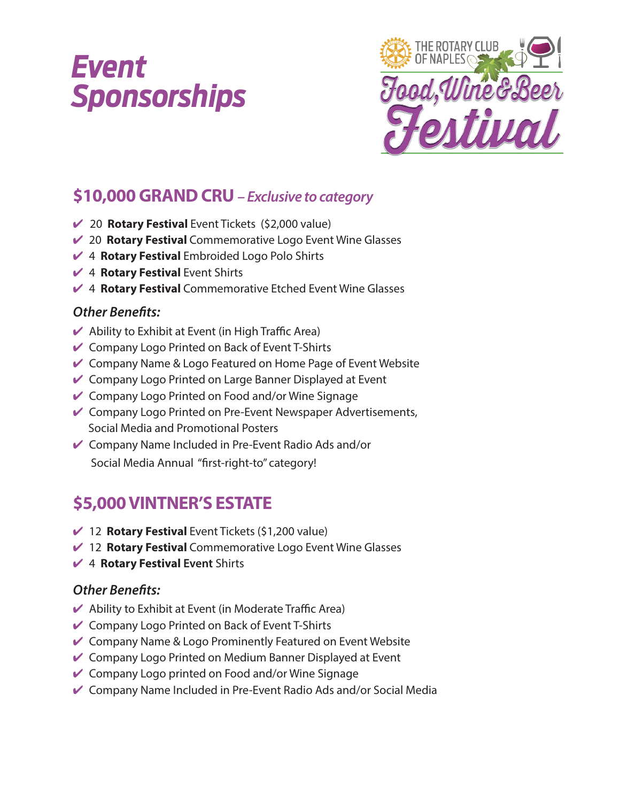# *Event Sponsorships*



## **\$10,000 GRAND CRU** *– Exclusive to category*

- ✔ 20 **Rotary Festival** Event Tickets (\$2,000 value)
- ✔ 20 **Rotary Festival** Commemorative Logo Event Wine Glasses
- ✔ 4 **Rotary Festival** Embroided Logo Polo Shirts
- ✔ 4 **Rotary Festival** Event Shirts
- **4 Rotary Festival** Commemorative Etched Event Wine Glasses

#### *Other Benefits:*

- $\vee$  Ability to Exhibit at Event (in High Traffic Area)
- ✔ Company Logo Printed on Back of Event T-Shirts
- $\vee$  Company Name & Logo Featured on Home Page of Event Website
- ✔ Company Logo Printed on Large Banner Displayed at Event
- $\vee$  Company Logo Printed on Food and/or Wine Signage
- **►** Company Logo Printed on Pre-Event Newspaper Advertisements, Social Media and Promotional Posters
- ✔ Company Name Included in Pre-Event Radio Ads and/or Social Media Annual "first-right-to" category!

## **\$5,000 VINTNER'S ESTATE**

- 12 **Rotary Festival** Event Tickets (\$1,200 value)
- ✔ 12 **Rotary Festival** Commemorative Logo Event Wine Glasses
- ✔ 4 **Rotary Festival Event** Shirts

#### *Other Benefits:*

- $\blacktriangleright$  Ability to Exhibit at Event (in Moderate Traffic Area)
- ✔ Company Logo Printed on Back of Event T-Shirts
- $\vee$  Company Name & Logo Prominently Featured on Event Website
- $\vee$  Company Logo Printed on Medium Banner Displayed at Event
- $\vee$  Company Logo printed on Food and/or Wine Signage
- ✔ Company Name Included in Pre-Event Radio Ads and/or Social Media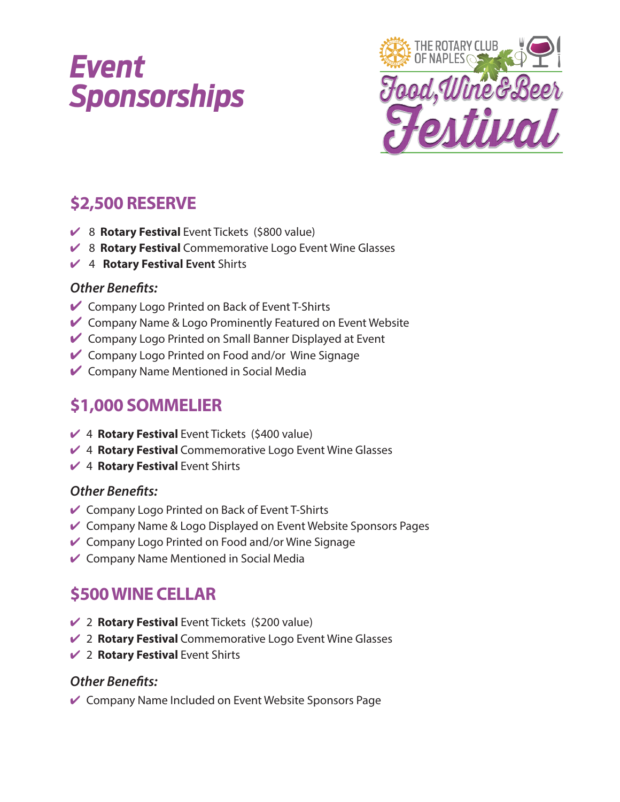# *Event Sponsorships*



## **\$2,500 RESERVE**

- 8 **Rotary Festival** Event Tickets (\$800 value)
- ✔ 8 **Rotary Festival** Commemorative Logo Event Wine Glasses
- ✔ 4 **Rotary Festival Event** Shirts

#### *Other Benefits:*

- Company Logo Printed on Back of Event T-Shirts
- $\vee$  Company Name & Logo Prominently Featured on Event Website
- Company Logo Printed on Small Banner Displayed at Event
- Company Logo Printed on Food and/or Wine Signage
- **►** Company Name Mentioned in Social Media

## **\$1,000 SOMMELIER**

- 4 **Rotary Festival** Event Tickets (\$400 value)
- **4 Rotary Festival** Commemorative Logo Event Wine Glasses
- ✔ 4 **Rotary Festival** Event Shirts

#### *Other Benefits:*

- ✔ Company Logo Printed on Back of Event T-Shirts
- **►** Company Name & Logo Displayed on Event Website Sponsors Pages
- $\vee$  Company Logo Printed on Food and/or Wine Signage
- $\vee$  Company Name Mentioned in Social Media

## **\$500 WINE CELLAR**

- 2 **Rotary Festival** Event Tickets (\$200 value)
- ✔ 2 **Rotary Festival** Commemorative Logo Event Wine Glasses
- ✔ 2 **Rotary Festival** Event Shirts

#### *Other Benefits:*

► Company Name Included on Event Website Sponsors Page